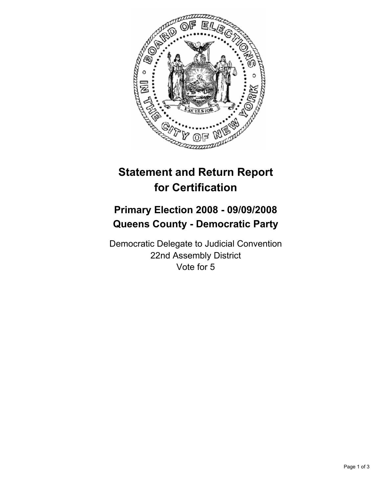

## **Statement and Return Report for Certification**

## **Primary Election 2008 - 09/09/2008 Queens County - Democratic Party**

Democratic Delegate to Judicial Convention 22nd Assembly District Vote for 5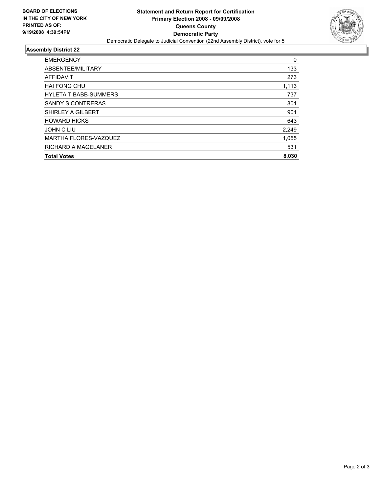

## **Assembly District 22**

| <b>EMERGENCY</b>             | 0     |
|------------------------------|-------|
| ABSENTEE/MILITARY            | 133   |
| AFFIDAVIT                    | 273   |
| <b>HAI FONG CHU</b>          | 1,113 |
| <b>HYLETA T BABB-SUMMERS</b> | 737   |
| <b>SANDY S CONTRERAS</b>     | 801   |
| SHIRLEY A GILBERT            | 901   |
| <b>HOWARD HICKS</b>          | 643   |
| <b>JOHN C LIU</b>            | 2,249 |
| MARTHA FLORES-VAZQUEZ        | 1,055 |
| <b>RICHARD A MAGELANER</b>   | 531   |
| <b>Total Votes</b>           | 8,030 |